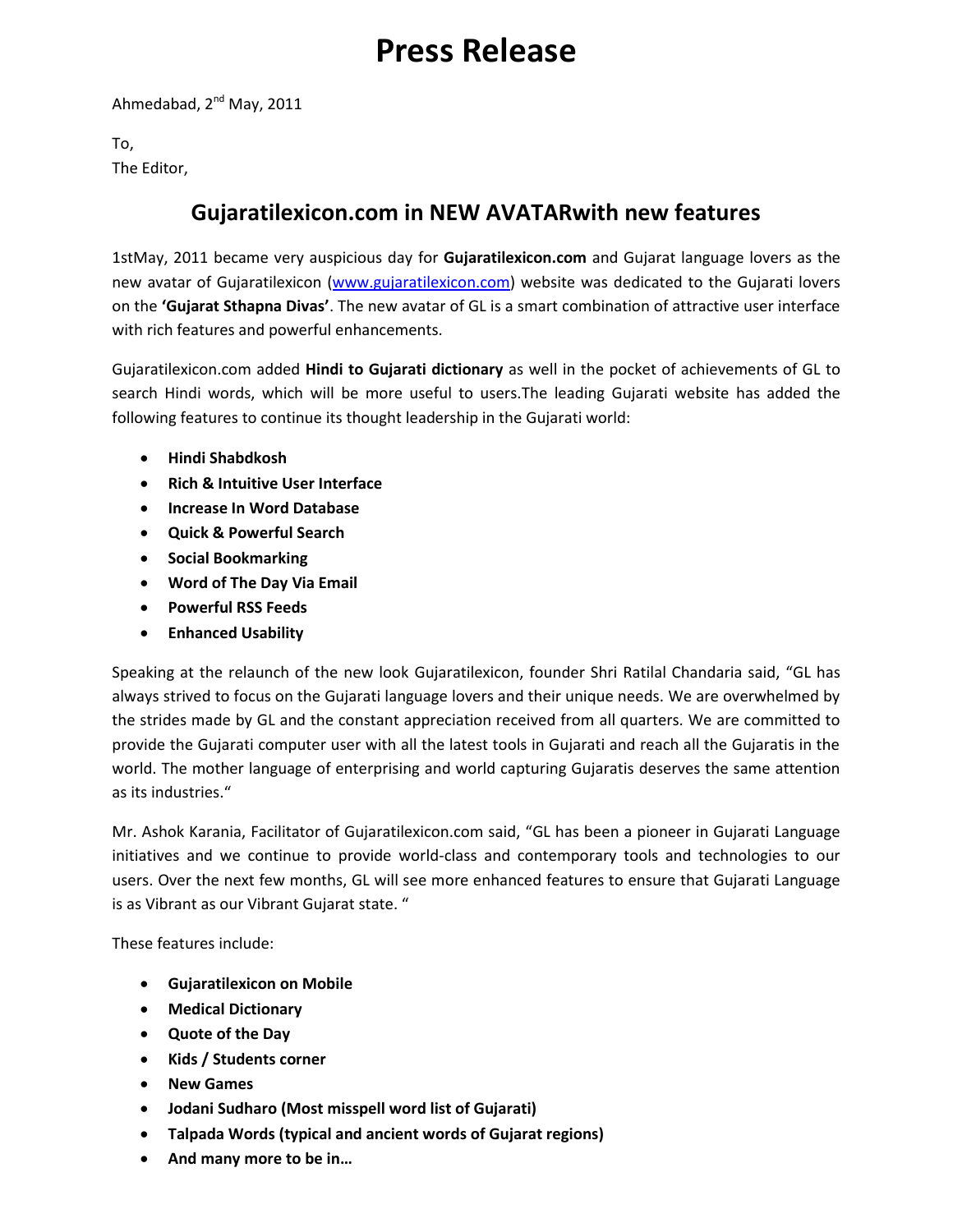# **Press Release**

Ahmedabad, 2<sup>nd</sup> May, 2011

To, The Editor,

## **Gujaratilexicon.com in NEW AVATARwith new features**

1stMay, 2011 became very auspicious day for **Gujaratilexicon.com** and Gujarat language lovers as the new avatar of Gujaratilexicon [\(www.gujaratilexicon.com\)](http://www.gujaratilexicon.com/) website was dedicated to the Gujarati lovers on the **'Gujarat Sthapna Divas'**. The new avatar of GL is a smart combination of attractive user interface with rich features and powerful enhancements.

Gujaratilexicon.com added **Hindi to Gujarati dictionary** as well in the pocket of achievements of GL to search Hindi words, which will be more useful to users.The leading Gujarati website has added the following features to continue its thought leadership in the Gujarati world:

- **Hindi Shabdkosh**
- **Rich & Intuitive User Interface**
- **Increase In Word Database**
- **Quick & Powerful Search**
- **•** Social Bookmarking
- **Word of The Day Via Email**
- **Powerful RSS Feeds**
- **Enhanced Usability**

Speaking at the relaunch of the new look Gujaratilexicon, founder Shri Ratilal Chandaria said, "GL has always strived to focus on the Gujarati language lovers and their unique needs. We are overwhelmed by the strides made by GL and the constant appreciation received from all quarters. We are committed to provide the Gujarati computer user with all the latest tools in Gujarati and reach all the Gujaratis in the world. The mother language of enterprising and world capturing Gujaratis deserves the same attention as its industries."

Mr. Ashok Karania, Facilitator of Gujaratilexicon.com said, "GL has been a pioneer in Gujarati Language initiatives and we continue to provide world-class and contemporary tools and technologies to our users. Over the next few months, GL will see more enhanced features to ensure that Gujarati Language is as Vibrant as our Vibrant Gujarat state. "

These features include:

- **Gujaratilexicon on Mobile**
- **Medical Dictionary**
- **Quote of the Day**
- **Kids / Students corner**
- **New Games**
- **Jodani Sudharo (Most misspell word list of Gujarati)**
- **Talpada Words (typical and ancient words of Gujarat regions)**
- **And many more to be in…**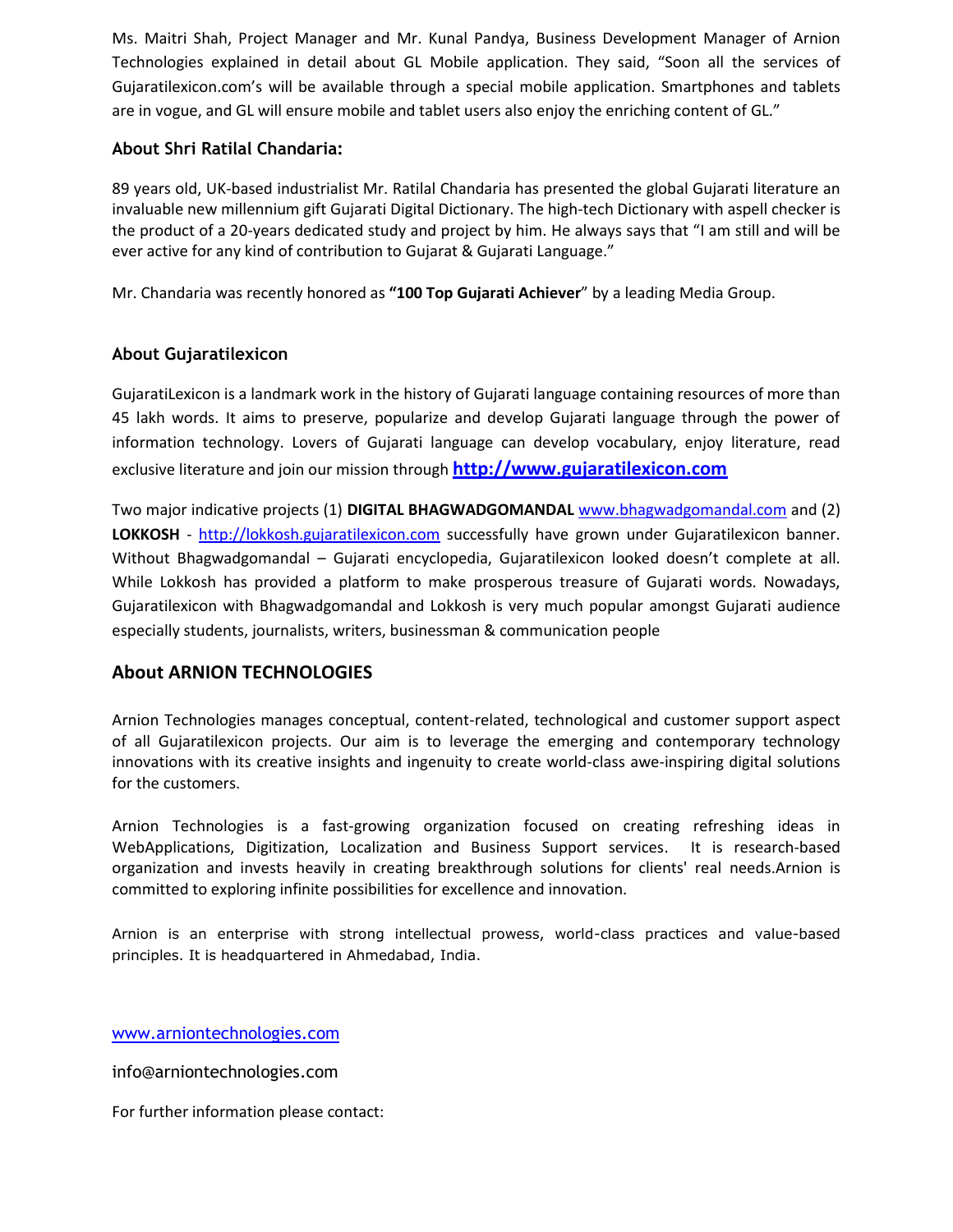Ms. Maitri Shah, Project Manager and Mr. Kunal Pandya, Business Development Manager of Arnion Technologies explained in detail about GL Mobile application. They said, "Soon all the services of Gujaratilexicon.com's will be available through a special mobile application. Smartphones and tablets are in vogue, and GL will ensure mobile and tablet users also enjoy the enriching content of GL."

#### **About Shri Ratilal Chandaria:**

89 years old, UK-based industrialist Mr. Ratilal Chandaria has presented the global Gujarati literature an invaluable new millennium gift Gujarati Digital Dictionary. The high-tech Dictionary with aspell checker is the product of a 20-years dedicated study and project by him. He always says that "I am still and will be ever active for any kind of contribution to Gujarat & Gujarati Language."

Mr. Chandaria was recently honored as **"100 Top Gujarati Achiever**" by a leading Media Group.

#### **About Gujaratilexicon**

GujaratiLexicon is a landmark work in the history of Gujarati language containing resources of more than 45 lakh words. It aims to preserve, popularize and develop Gujarati language through the power of information technology. Lovers of Gujarati language can develop vocabulary, enjoy literature, read exclusive literature and join our mission through **[http://www.gujaratilexicon.com](http://www.gujaratilexicon.com/)**

Two major indicative projects (1) **DIGITAL BHAGWADGOMANDAL** [www.bhagwadgomandal.com](http://www.bhagwadgomandal.com/) and (2) **LOKKOSH** - [http://lokkosh.gujaratilexicon.com](http://lokkosh.gujaratilexicon.com/) successfully have grown under Gujaratilexicon banner. Without Bhagwadgomandal – Gujarati encyclopedia, Gujaratilexicon looked doesn't complete at all. While Lokkosh has provided a platform to make prosperous treasure of Gujarati words. Nowadays, Gujaratilexicon with Bhagwadgomandal and Lokkosh is very much popular amongst Gujarati audience especially students, journalists, writers, businessman & communication people

### **About ARNION TECHNOLOGIES**

Arnion Technologies manages conceptual, content-related, technological and customer support aspect of all Gujaratilexicon projects. Our aim is to leverage the emerging and contemporary technology innovations with its creative insights and ingenuity to create world-class awe-inspiring digital solutions for the customers.

Arnion Technologies is a fast-growing organization focused on creating refreshing ideas in WebApplications, Digitization, Localization and Business Support services. It is research-based organization and invests heavily in creating breakthrough solutions for clients' real needs.Arnion is committed to exploring infinite possibilities for excellence and innovation.

Arnion is an enterprise with strong intellectual prowess, world-class practices and value-based principles. It is headquartered in Ahmedabad, India.

[www.arniontechnologies.com](http://www.arniontechnologies.com/)

info@arniontechnologies.com

For further information please contact: